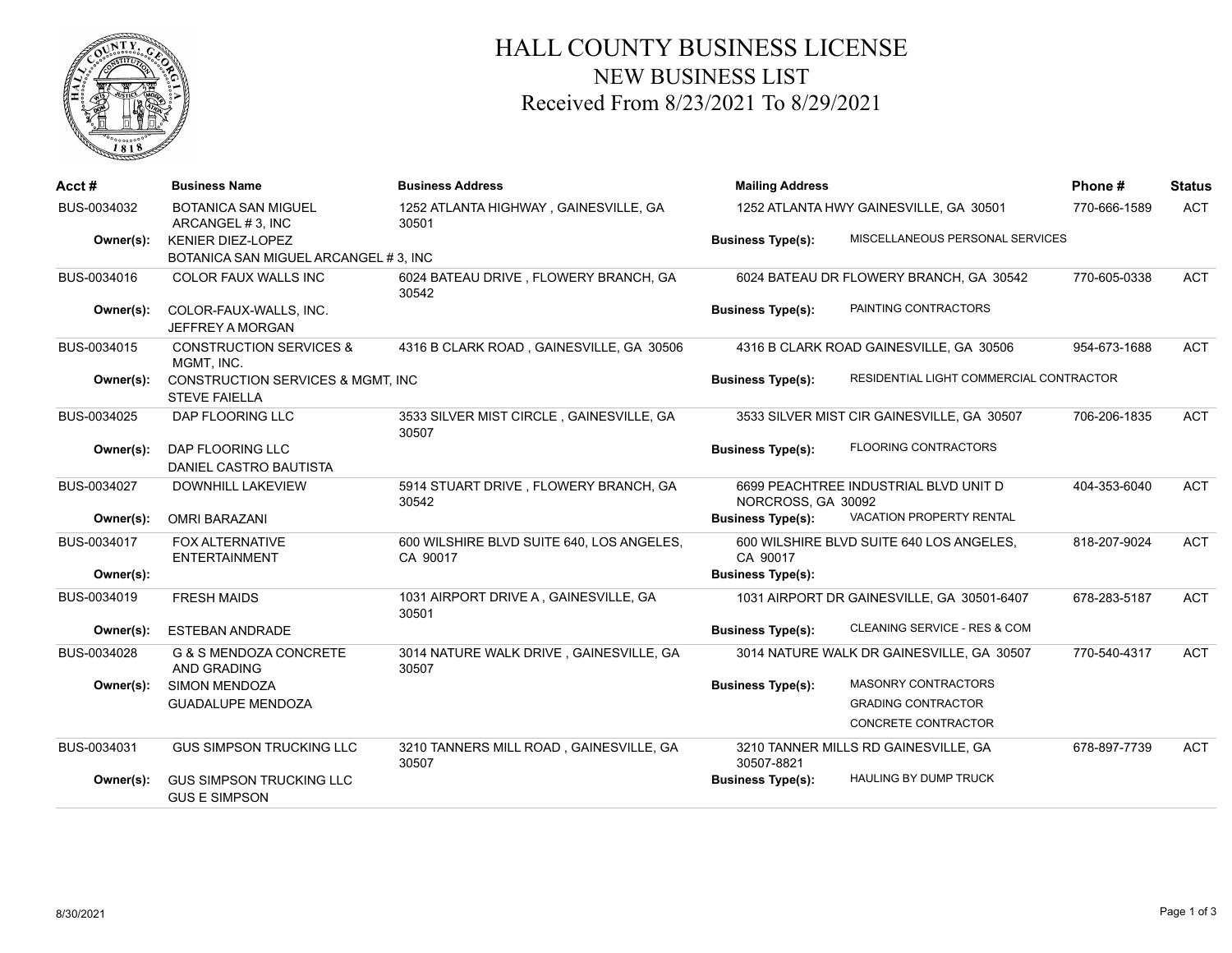

## HALL COUNTY BUSINESS LICENSE NEW BUSINESS LIST Received From 8/23/2021 To 8/29/2021

| Acct#       | <b>Business Name</b>                                                 | <b>Business Address</b>                               | <b>Mailing Address</b>                 |                                            | Phone#       | <b>Status</b> |
|-------------|----------------------------------------------------------------------|-------------------------------------------------------|----------------------------------------|--------------------------------------------|--------------|---------------|
| BUS-0034032 | <b>BOTANICA SAN MIGUEL</b><br>ARCANGEL # 3, INC                      | 1252 ATLANTA HIGHWAY, GAINESVILLE, GA<br>30501        | 1252 ATLANTA HWY GAINESVILLE, GA 30501 |                                            | 770-666-1589 | <b>ACT</b>    |
| Owner(s):   | <b>KENIER DIEZ-LOPEZ</b><br>BOTANICA SAN MIGUEL ARCANGEL # 3, INC    |                                                       | <b>Business Type(s):</b>               | MISCELLANEOUS PERSONAL SERVICES            |              |               |
| BUS-0034016 | <b>COLOR FAUX WALLS INC</b>                                          | 6024 BATEAU DRIVE, FLOWERY BRANCH, GA<br>30542        |                                        | 6024 BATEAU DR FLOWERY BRANCH, GA 30542    | 770-605-0338 | <b>ACT</b>    |
| Owner(s):   | COLOR-FAUX-WALLS, INC.<br>JEFFREY A MORGAN                           |                                                       | <b>Business Type(s):</b>               | PAINTING CONTRACTORS                       |              |               |
| BUS-0034015 | <b>CONSTRUCTION SERVICES &amp;</b><br>MGMT. INC.                     | 4316 B CLARK ROAD, GAINESVILLE, GA 30506              |                                        | 4316 B CLARK ROAD GAINESVILLE, GA 30506    | 954-673-1688 | <b>ACT</b>    |
| Owner(s):   | <b>CONSTRUCTION SERVICES &amp; MGMT. INC</b><br><b>STEVE FAIELLA</b> |                                                       | <b>Business Type(s):</b>               | RESIDENTIAL LIGHT COMMERCIAL CONTRACTOR    |              |               |
| BUS-0034025 | DAP FLOORING LLC                                                     | 3533 SILVER MIST CIRCLE, GAINESVILLE, GA<br>30507     |                                        | 3533 SILVER MIST CIR GAINESVILLE, GA 30507 | 706-206-1835 | <b>ACT</b>    |
| Owner(s):   | DAP FLOORING LLC<br>DANIEL CASTRO BAUTISTA                           |                                                       | <b>Business Type(s):</b>               | <b>FLOORING CONTRACTORS</b>                |              |               |
| BUS-0034027 | <b>DOWNHILL LAKEVIEW</b>                                             | 5914 STUART DRIVE, FLOWERY BRANCH, GA<br>30542        | NORCROSS, GA 30092                     | 6699 PEACHTREE INDUSTRIAL BLVD UNIT D      | 404-353-6040 | <b>ACT</b>    |
| Owner(s):   | <b>OMRI BARAZANI</b>                                                 |                                                       | <b>Business Type(s):</b>               | VACATION PROPERTY RENTAL                   |              |               |
| BUS-0034017 | <b>FOX ALTERNATIVE</b><br><b>ENTERTAINMENT</b>                       | 600 WILSHIRE BLVD SUITE 640, LOS ANGELES,<br>CA 90017 | CA 90017                               | 600 WILSHIRE BLVD SUITE 640 LOS ANGELES,   | 818-207-9024 | <b>ACT</b>    |
| Owner(s):   |                                                                      |                                                       | <b>Business Type(s):</b>               |                                            |              |               |
| BUS-0034019 | <b>FRESH MAIDS</b>                                                   | 1031 AIRPORT DRIVE A, GAINESVILLE, GA<br>30501        |                                        | 1031 AIRPORT DR GAINESVILLE, GA 30501-6407 | 678-283-5187 | <b>ACT</b>    |
| Owner(s):   | <b>ESTEBAN ANDRADE</b>                                               |                                                       | <b>Business Type(s):</b>               | CLEANING SERVICE - RES & COM               |              |               |
| BUS-0034028 | G & S MENDOZA CONCRETE<br>AND GRADING                                | 3014 NATURE WALK DRIVE, GAINESVILLE, GA<br>30507      |                                        | 3014 NATURE WALK DR GAINESVILLE, GA 30507  | 770-540-4317 | <b>ACT</b>    |
| Owner(s):   | <b>SIMON MENDOZA</b>                                                 |                                                       | <b>Business Type(s):</b>               | <b>MASONRY CONTRACTORS</b>                 |              |               |
|             | <b>GUADALUPE MENDOZA</b>                                             |                                                       |                                        | <b>GRADING CONTRACTOR</b>                  |              |               |
|             |                                                                      |                                                       |                                        | CONCRETE CONTRACTOR                        |              |               |
| BUS-0034031 | <b>GUS SIMPSON TRUCKING LLC</b>                                      | 3210 TANNERS MILL ROAD, GAINESVILLE, GA<br>30507      | 30507-8821                             | 3210 TANNER MILLS RD GAINESVILLE, GA       | 678-897-7739 | <b>ACT</b>    |
| Owner(s):   | <b>GUS SIMPSON TRUCKING LLC</b><br><b>GUS E SIMPSON</b>              |                                                       | <b>Business Type(s):</b>               | <b>HAULING BY DUMP TRUCK</b>               |              |               |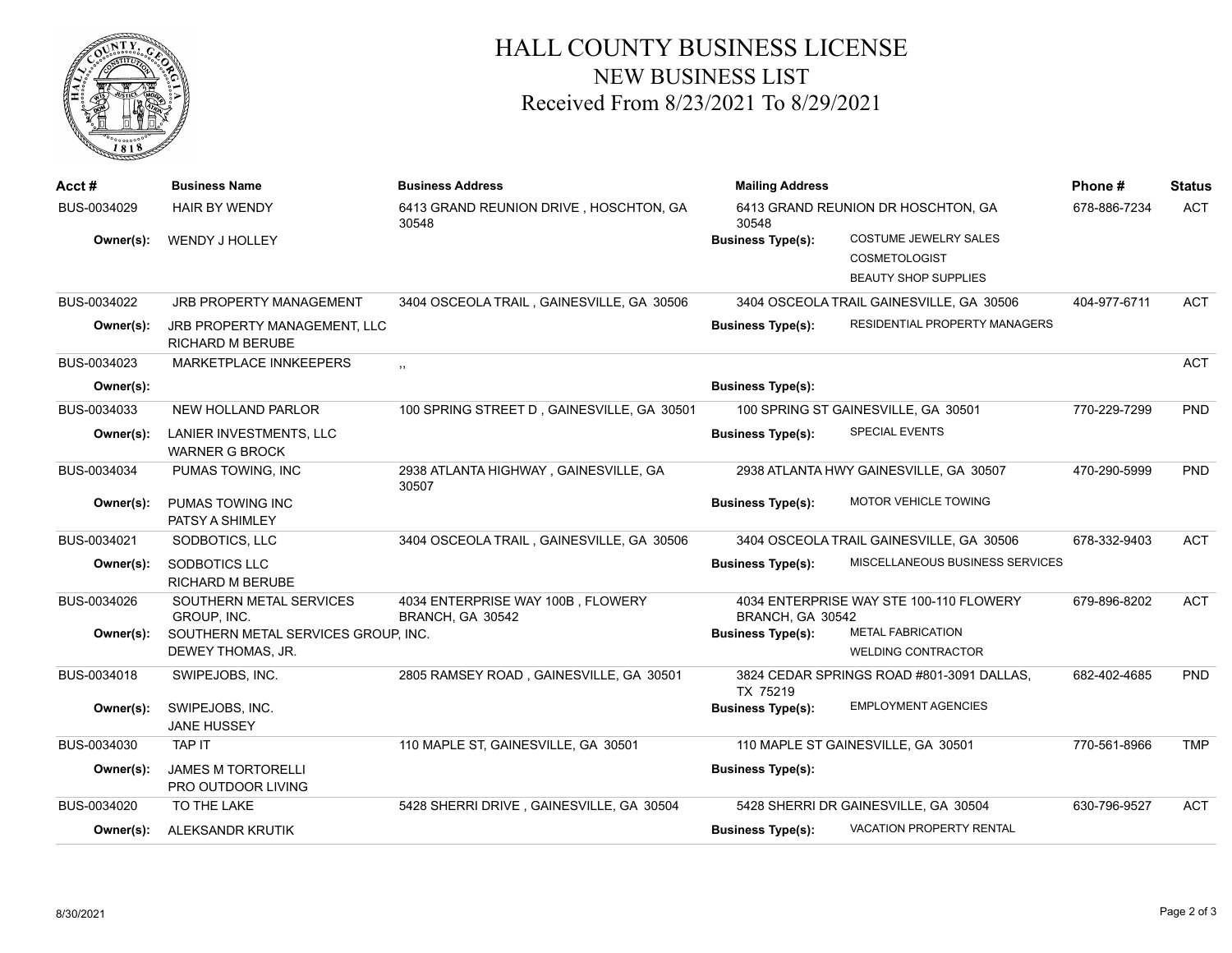

## HALL COUNTY BUSINESS LICENSE NEW BUSINESS LIST Received From 8/23/2021 To 8/29/2021

| Acct#       | <b>Business Name</b>                                    | <b>Business Address</b>                               | <b>Mailing Address</b>   |                                           | Phone#       | <b>Status</b> |
|-------------|---------------------------------------------------------|-------------------------------------------------------|--------------------------|-------------------------------------------|--------------|---------------|
| BUS-0034029 | <b>HAIR BY WENDY</b>                                    | 6413 GRAND REUNION DRIVE, HOSCHTON, GA<br>30548       | 30548                    | 6413 GRAND REUNION DR HOSCHTON, GA        | 678-886-7234 | <b>ACT</b>    |
| Owner(s):   | WENDY J HOLLEY                                          |                                                       | <b>Business Type(s):</b> | COSTUME JEWELRY SALES                     |              |               |
|             |                                                         |                                                       |                          | <b>COSMETOLOGIST</b>                      |              |               |
|             |                                                         |                                                       |                          | <b>BEAUTY SHOP SUPPLIES</b>               |              |               |
| BUS-0034022 | JRB PROPERTY MANAGEMENT                                 | 3404 OSCEOLA TRAIL, GAINESVILLE, GA 30506             |                          | 3404 OSCEOLA TRAIL GAINESVILLE, GA 30506  | 404-977-6711 | <b>ACT</b>    |
| Owner(s):   | JRB PROPERTY MANAGEMENT, LLC<br><b>RICHARD M BERUBE</b> |                                                       | <b>Business Type(s):</b> | RESIDENTIAL PROPERTY MANAGERS             |              |               |
| BUS-0034023 | MARKETPLACE INNKEEPERS                                  | , ,                                                   |                          |                                           |              | <b>ACT</b>    |
| Owner(s):   |                                                         |                                                       | <b>Business Type(s):</b> |                                           |              |               |
| BUS-0034033 | NEW HOLLAND PARLOR                                      | 100 SPRING STREET D, GAINESVILLE, GA 30501            |                          | 100 SPRING ST GAINESVILLE, GA 30501       | 770-229-7299 | PND           |
| Owner(s):   | LANIER INVESTMENTS, LLC<br><b>WARNER G BROCK</b>        |                                                       | <b>Business Type(s):</b> | SPECIAL EVENTS                            |              |               |
| BUS-0034034 | PUMAS TOWING, INC                                       | 2938 ATLANTA HIGHWAY, GAINESVILLE, GA<br>30507        |                          | 2938 ATLANTA HWY GAINESVILLE, GA 30507    | 470-290-5999 | PND           |
| Owner(s):   | PUMAS TOWING INC<br>PATSY A SHIMLEY                     |                                                       | <b>Business Type(s):</b> | <b>MOTOR VEHICLE TOWING</b>               |              |               |
| BUS-0034021 | SODBOTICS, LLC                                          | 3404 OSCEOLA TRAIL, GAINESVILLE, GA 30506             |                          | 3404 OSCEOLA TRAIL GAINESVILLE, GA 30506  | 678-332-9403 | <b>ACT</b>    |
| Owner(s):   | SODBOTICS LLC<br><b>RICHARD M BERUBE</b>                |                                                       | <b>Business Type(s):</b> | MISCELLANEOUS BUSINESS SERVICES           |              |               |
| BUS-0034026 | SOUTHERN METAL SERVICES<br>GROUP, INC.                  | 4034 ENTERPRISE WAY 100B, FLOWERY<br>BRANCH, GA 30542 | BRANCH, GA 30542         | 4034 ENTERPRISE WAY STE 100-110 FLOWERY   | 679-896-8202 | <b>ACT</b>    |
| Owner(s):   | SOUTHERN METAL SERVICES GROUP. INC.                     |                                                       | <b>Business Type(s):</b> | <b>METAL FABRICATION</b>                  |              |               |
|             | DEWEY THOMAS, JR.                                       |                                                       |                          | <b>WELDING CONTRACTOR</b>                 |              |               |
| BUS-0034018 | SWIPEJOBS, INC.                                         | 2805 RAMSEY ROAD, GAINESVILLE, GA 30501               | TX 75219                 | 3824 CEDAR SPRINGS ROAD #801-3091 DALLAS, | 682-402-4685 | <b>PND</b>    |
| Owner(s):   | SWIPEJOBS, INC.<br><b>JANE HUSSEY</b>                   |                                                       | <b>Business Type(s):</b> | <b>EMPLOYMENT AGENCIES</b>                |              |               |
| BUS-0034030 | <b>TAP IT</b>                                           | 110 MAPLE ST, GAINESVILLE, GA 30501                   |                          | 110 MAPLE ST GAINESVILLE, GA 30501        | 770-561-8966 | <b>TMP</b>    |
| Owner(s):   | <b>JAMES M TORTORELLI</b><br>PRO OUTDOOR LIVING         |                                                       | <b>Business Type(s):</b> |                                           |              |               |
| BUS-0034020 | TO THE LAKE                                             | 5428 SHERRI DRIVE, GAINESVILLE, GA 30504              |                          | 5428 SHERRI DR GAINESVILLE, GA 30504      | 630-796-9527 | <b>ACT</b>    |
| Owner(s):   | ALEKSANDR KRUTIK                                        |                                                       | <b>Business Type(s):</b> | <b>VACATION PROPERTY RENTAL</b>           |              |               |